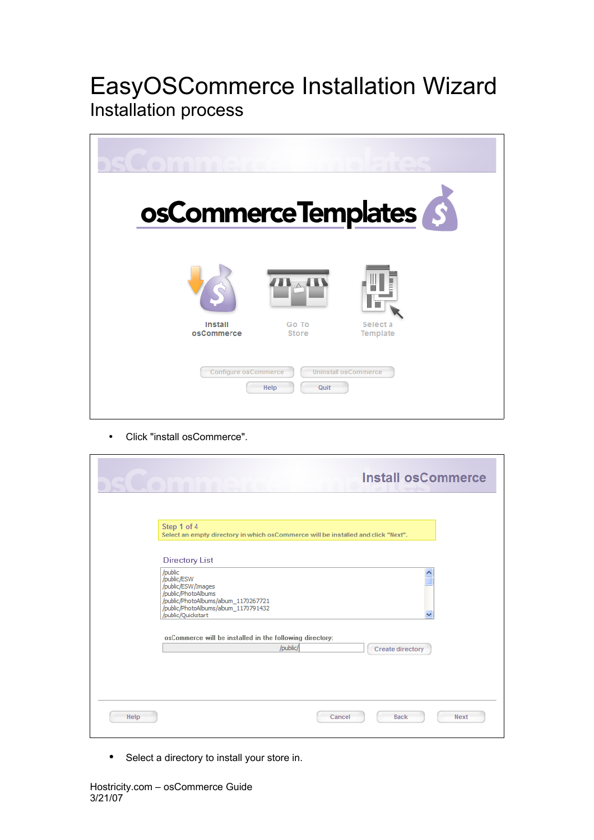## EasyOSCommerce Installation Wizard Installation process



• Click "install osCommerce".

| $\bullet$ | <b>Install osCommerce</b><br>100100                                                                                                                                                 |             |
|-----------|-------------------------------------------------------------------------------------------------------------------------------------------------------------------------------------|-------------|
|           | Step 1 of 4<br>Select an empty directory in which os Commerce will be installed and click "Next".                                                                                   |             |
|           | <b>Directory List</b>                                                                                                                                                               |             |
|           | /public<br>E<br>/public/ESW<br>/public/ESW/Images<br>/public/PhotoAlbums<br>/public/PhotoAlbums/album 1170267721<br>/public/PhotoAlbums/album_1170791432<br>/public/Quickstart<br>▿ |             |
|           | osCommerce will be installed in the following directory:<br>/public/<br><b>Create directory</b>                                                                                     |             |
| Help      | <b>Back</b><br>Cancel                                                                                                                                                               | <b>Next</b> |

Select a directory to install your store in.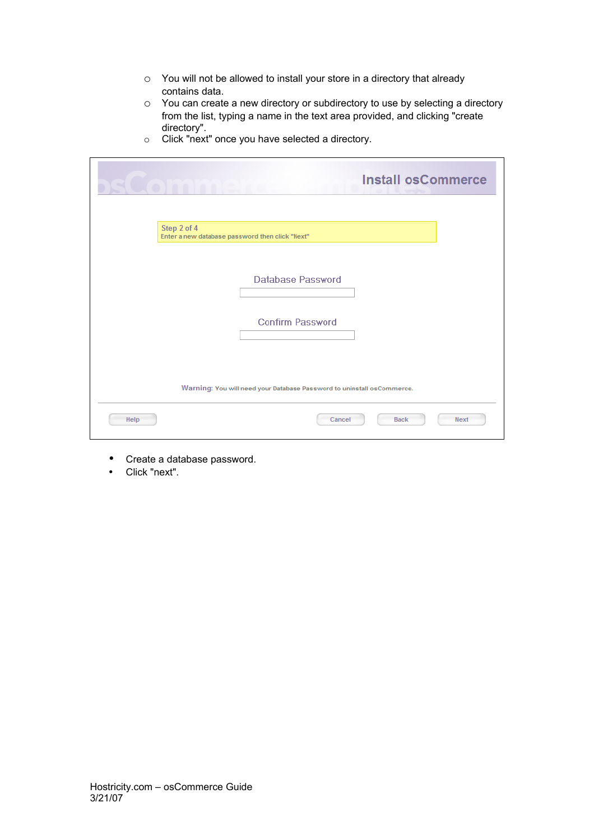- o You will not be allowed to install your store in a directory that already contains data.
- o You can create a new directory or subdirectory to use by selecting a directory from the list, typing a name in the text area provided, and clicking "create directory".

|  | Click "next" once you have selected a directory. |
|--|--------------------------------------------------|
|--|--------------------------------------------------|

| <b>Install osCommerce</b>                                              |
|------------------------------------------------------------------------|
| Step 2 of 4<br>Enter a new database password then click "Next"         |
| Database Password                                                      |
| <b>Confirm Password</b>                                                |
| Warning: You will need your Database Password to uninstall osCommerce. |
| Help<br><b>Back</b><br><b>Next</b><br>Cancel                           |

- Create a database password.
- Click "next".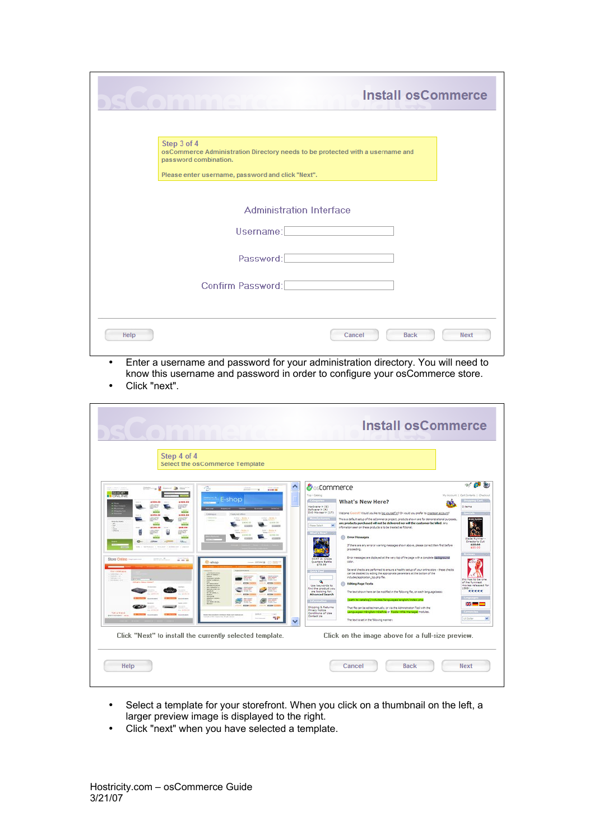|                                                                                                                       | <b>Install osCommerce</b>            |
|-----------------------------------------------------------------------------------------------------------------------|--------------------------------------|
| Step 3 of 4<br>osCommerce Administration Directory needs to be protected with a username and<br>password combination. |                                      |
| Please enter username, password and click "Next".<br><b>Administration Interface</b>                                  |                                      |
| Username:<br>Password:                                                                                                |                                      |
| Confirm Password:                                                                                                     |                                      |
| Help                                                                                                                  | Cancel<br><b>Back</b><br><b>Next</b> |

- Enter a username and password for your administration directory. You will need to know this username and password in order to configure your osCommerce store.
- Click "next".

|                                                                                                                                                                                                                                                                                                                                                                                                                                                                                                                                                                                                                                                                                                                                                                                                                                                                                                                                                                                                                                                                                                                                                                                                                                                                                                                                                                                                                                                                                                                  | <b>Install osCommerce</b>                                                                                                                                                                                                                                                                                                                                                                                                                                                                                                                                                                                                                                                                                                                                                                                                                                                                                                                                                                                                                                                                                                                                                                                                                                                                                                                                                                                                                                                                                                                                                                                                                                                                                                                                                                                                                                                             |
|------------------------------------------------------------------------------------------------------------------------------------------------------------------------------------------------------------------------------------------------------------------------------------------------------------------------------------------------------------------------------------------------------------------------------------------------------------------------------------------------------------------------------------------------------------------------------------------------------------------------------------------------------------------------------------------------------------------------------------------------------------------------------------------------------------------------------------------------------------------------------------------------------------------------------------------------------------------------------------------------------------------------------------------------------------------------------------------------------------------------------------------------------------------------------------------------------------------------------------------------------------------------------------------------------------------------------------------------------------------------------------------------------------------------------------------------------------------------------------------------------------------|---------------------------------------------------------------------------------------------------------------------------------------------------------------------------------------------------------------------------------------------------------------------------------------------------------------------------------------------------------------------------------------------------------------------------------------------------------------------------------------------------------------------------------------------------------------------------------------------------------------------------------------------------------------------------------------------------------------------------------------------------------------------------------------------------------------------------------------------------------------------------------------------------------------------------------------------------------------------------------------------------------------------------------------------------------------------------------------------------------------------------------------------------------------------------------------------------------------------------------------------------------------------------------------------------------------------------------------------------------------------------------------------------------------------------------------------------------------------------------------------------------------------------------------------------------------------------------------------------------------------------------------------------------------------------------------------------------------------------------------------------------------------------------------------------------------------------------------------------------------------------------------|
| Step 4 of 4<br>Select the osCommerce Template                                                                                                                                                                                                                                                                                                                                                                                                                                                                                                                                                                                                                                                                                                                                                                                                                                                                                                                                                                                                                                                                                                                                                                                                                                                                                                                                                                                                                                                                    |                                                                                                                                                                                                                                                                                                                                                                                                                                                                                                                                                                                                                                                                                                                                                                                                                                                                                                                                                                                                                                                                                                                                                                                                                                                                                                                                                                                                                                                                                                                                                                                                                                                                                                                                                                                                                                                                                       |
| ㅅ<br><b>District to Market Street, De Street</b><br>己<br>Library L. Spieler<br>$1140 - 1$<br><b>SHOP</b><br><b>B</b> ONLINE<br>E-shop<br>≣<br>1406.00<br>6390.90<br><b>SOFT</b><br><b>HALL</b><br><b>KODA</b><br><b>NGCA</b><br><b>Consule</b><br>6386.00<br>4386.66<br>Local - Made 4<br>Estat Library R<br>948<br>talus das<br>striki da<br><b>ACADEM</b><br><b>ANTIN</b><br><b>STANDARD</b><br><b>Andrews</b><br>100.00<br><b>NAME OF</b><br>$\frac{1+1}{4\pi m}\times\frac{1+1}{4\pi m}\times\frac{1}{4\pi}\times\frac{1}{4\pi}\times\frac{1}{4\pi}\times\frac{1}{4\pi}\times\frac{1}{4\pi}\times\frac{1}{4\pi}\times\frac{1}{4\pi}\times\frac{1}{4\pi}\times\frac{1}{4\pi}\times\frac{1}{4\pi}\times\frac{1}{4\pi}\times\frac{1}{4\pi}\times\frac{1}{4\pi}\times\frac{1}{4\pi}\times\frac{1}{4\pi}\times\frac{1}{4\pi}\times\frac{1}{4\pi}\times\frac{1}{4\pi}\times\frac{1}{4\pi}\times\frac{1$<br>$1354 - 3468 + 8$<br><b>SALANA</b><br>学生<br>t<br>4 000, 00<br>4120.00<br>annie<br><b>CORPORATION</b><br>president<br>$GL-$<br>ø<br>Store Crime -<br><b>SITES R</b><br>$-0.00$<br><b>B-shop</b><br>mone Gilberta . [ - ] The<br><b>OUT DIRECTOR</b><br><b>ARA</b><br><b>COMMANDS</b><br>$1000 - 1$<br>垩<br>S<br><b>LESS POS</b><br><b>STATISTICS</b><br><b>ATTN: CO</b><br><b>COMMERCIAL</b><br>98<br>m.<br>arms:<br>Arrest Ed<br><b>Service America</b><br><b>ATTN: ATT</b><br><b>THE REAL</b><br>Tell a friend<br>1 kel<br>and maximizes climber made a state of the<br><b>BROTHERWISE MOVIE</b><br>٩P | sst<br>œ<br>& commerce<br>Top + Catalog<br>My Account 1 Cart Contants 1 Checkout.<br><b>CONSULTS</b><br><b>What's New Here?</b><br><b>Surgeon Cool</b> in-<br>Hardware-> (6)<br>0 items<br>Esfinarer(x (A)<br>DVD Movies-> (17)<br>Welcome Gluerald Would you like to log yourself in? Or would you prefer to greate an account?<br>This is a default setup of the coCommerce project, products shown are for demonstrational purposes.<br>any products purchased will not be delivered nor will the customer be billed. Any<br>×<br>Finane Salert<br>information seen on these products is to be treated as fictorial.<br>7183<br><b>Error Hessages</b><br><b>Hade Runne</b><br>Director's Cut<br>635.60<br>If there are any error or warring messages shown above, please correct them first before<br>\$35.00<br>proceeding.<br>Error messages are displayed at the very top of the page with a complete likedigma and<br><b>Quarters Battle</b><br>cov.<br>\$75.99<br>Several checks are performed to ensure a healthy setup of your online store - these checks<br><b>TELEVIS</b><br>can be deabled by editing the appropriate parameters at the bottom of the<br>includes/application_top.php file.<br>this has to be one<br>۹<br>of the funnisst<br><b>Editing Page Texts</b><br>ഒ<br>Use longvords to<br>movies released for<br>19930<br>find the product you<br>*****<br>The text shown here can be modified in the following file, on each language bases:<br>are looking for.<br><b>Advanced Search</b><br>awik to sateleg (indudes languages/engleh/index.php<br>宋一<br>Shipping 5 Returns<br>That fle can be edited manually, or via the Administration Tool with the<br><b>Privady Nation</b><br>Lenguages->English->Define or Eppla->File Manager notices.<br>Conditions of Use<br>Contact Us<br><b>US Dallar</b><br>$\sim$<br>The text is set in the following manner: |
| Click "Next" to install the currently selected template.<br>Help                                                                                                                                                                                                                                                                                                                                                                                                                                                                                                                                                                                                                                                                                                                                                                                                                                                                                                                                                                                                                                                                                                                                                                                                                                                                                                                                                                                                                                                 | Click on the image above for a full-size preview.<br><b>Back</b><br>Cancel<br>Next                                                                                                                                                                                                                                                                                                                                                                                                                                                                                                                                                                                                                                                                                                                                                                                                                                                                                                                                                                                                                                                                                                                                                                                                                                                                                                                                                                                                                                                                                                                                                                                                                                                                                                                                                                                                    |

- Select a template for your storefront. When you click on a thumbnail on the left, a larger preview image is displayed to the right.
- Click "next" when you have selected a template.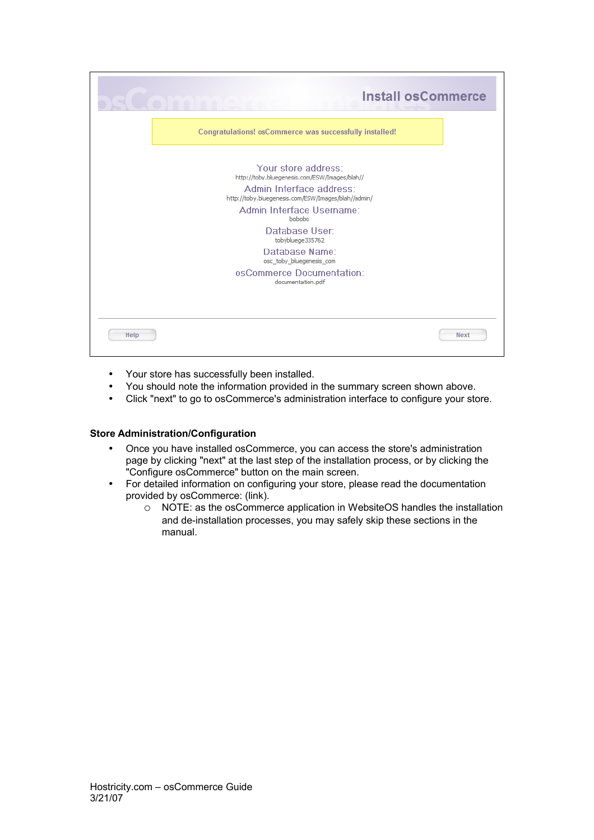|                                                                                 | <b>Install osCommerce</b> |
|---------------------------------------------------------------------------------|---------------------------|
| Congratulations! osCommerce was successfully installed!                         |                           |
| Your store address:<br>http://toby.bluegenesis.com/ESW/Images/blah//            |                           |
| Admin Interface address:<br>http://toby.bluegenesis.com/ESW/Images/blah//admin/ |                           |
| Admin Interface Username:<br>bobobo                                             |                           |
| Database User:<br>tobybluege335762                                              |                           |
| Database Name:<br>osc_toby_bluegenesis_com                                      |                           |
| osCommerce Documentation:<br>documentation.pdf                                  |                           |
|                                                                                 |                           |
| Help                                                                            | <b>Next</b>               |

- Your store has successfully been installed.
- You should note the information provided in the summary screen shown above.
- Click "next" to go to osCommerce's administration interface to configure your store.

## **Store Administration/Configuration**

- Once you have installed osCommerce, you can access the store's administration page by clicking "next" at the last step of the installation process, or by clicking the "Configure osCommerce" button on the main screen.
- For detailed information on configuring your store, please read the documentation provided by osCommerce: (link).
	- o NOTE: as the osCommerce application in WebsiteOS handles the installation and de-installation processes, you may safely skip these sections in the manual.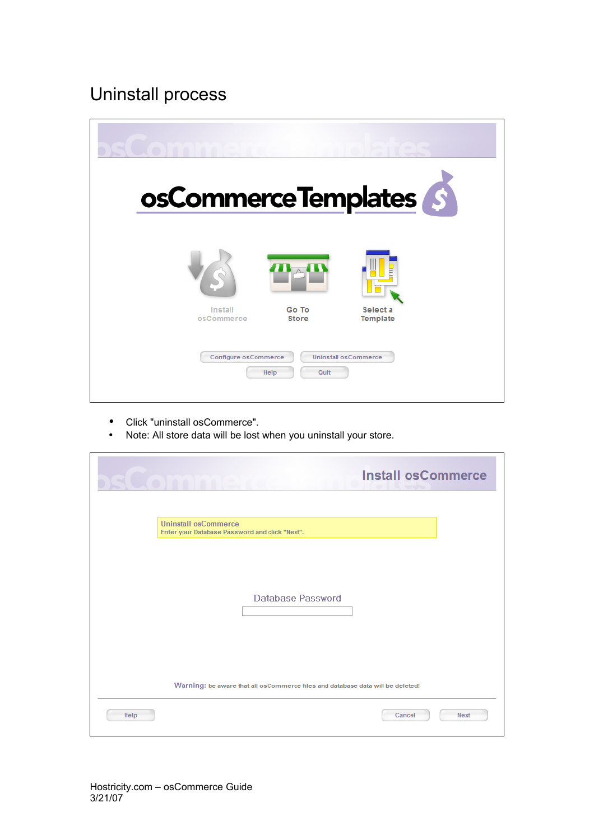## Uninstall process



- Click "uninstall osCommerce".
- Note: All store data will be lost when you uninstall your store.

|      | <b>Install osCommerce</b>                                                      |             |  |
|------|--------------------------------------------------------------------------------|-------------|--|
|      | <b>Uninstall osCommerce</b><br>Enter your Database Password and click "Next".  |             |  |
|      |                                                                                |             |  |
|      | Database Password                                                              |             |  |
|      |                                                                                |             |  |
|      | Warning: be aware that all osCommerce files and database data will be deleted! |             |  |
| Help | Cancel                                                                         | <b>Next</b> |  |